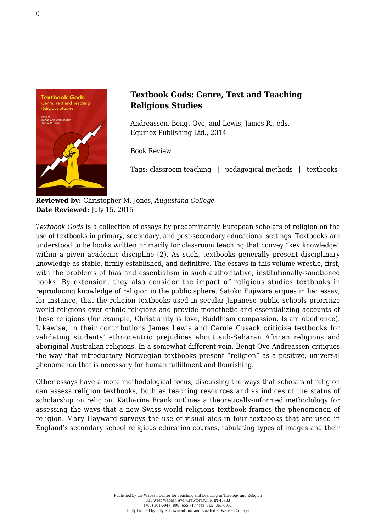

## **Textbook Gods: Genre, Text and Teaching Religious Studies**

Andreassen, Bengt-Ove; and Lewis, James R., eds. [Equinox Publishing Ltd., 2014](http://www.equinoxpub.com/home/textbook-gods/)

Book Review

Tags: classroom teaching | pedagogical methods | textbooks

**Reviewed by:** Christopher M. Jones, *Augustana College* **Date Reviewed:** July 15, 2015

*Textbook Gods* is a collection of essays by predominantly European scholars of religion on the use of textbooks in primary, secondary, and post-secondary educational settings. Textbooks are understood to be books written primarily for classroom teaching that convey "key knowledge" within a given academic discipline (2). As such, textbooks generally present disciplinary knowledge as stable, firmly established, and definitive. The essays in this volume wrestle, first, with the problems of bias and essentialism in such authoritative, institutionally-sanctioned books. By extension, they also consider the impact of religious studies textbooks in reproducing knowledge of religion in the public sphere. Satoko Fujiwara argues in her essay, for instance, that the religion textbooks used in secular Japanese public schools prioritize world religions over ethnic religions and provide monothetic and essentializing accounts of these religions (for example, Christianity is love, Buddhism compassion, Islam obedience). Likewise, in their contributions James Lewis and Carole Cusack criticize textbooks for validating students' ethnocentric prejudices about sub-Saharan African religions and aboriginal Australian religions. In a somewhat different vein, Bengt-Ove Andreassen critiques the way that introductory Norwegian textbooks present "religion" as a positive, universal phenomenon that is necessary for human fulfillment and flourishing.

Other essays have a more methodological focus, discussing the ways that scholars of religion can assess religion textbooks, both as teaching resources and as indices of the status of scholarship on religion. Katharina Frank outlines a theoretically-informed methodology for assessing the ways that a new Swiss world religions textbook frames the phenomenon of religion. Mary Hayward surveys the use of visual aids in four textbooks that are used in England's secondary school religious education courses, tabulating types of images and their